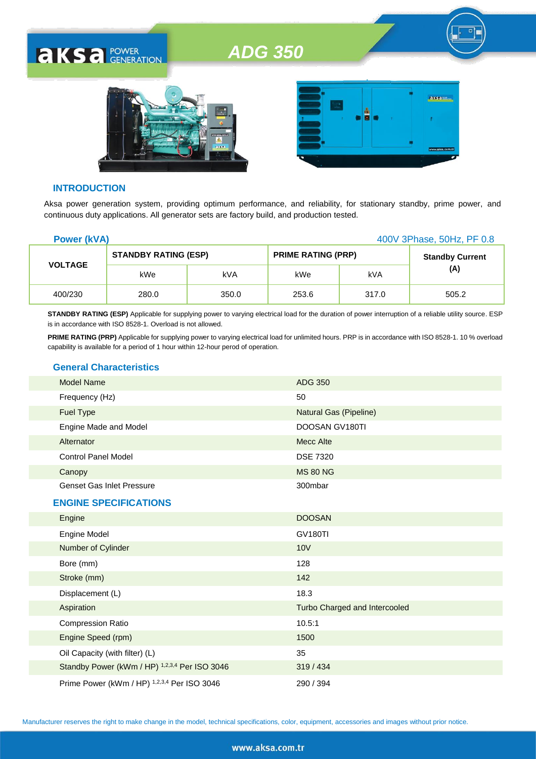



## **INTRODUCTION**

**AKSA POWER** 

Aksa power generation system, providing optimum performance, and reliability, for stationary standby, prime power, and continuous duty applications. All generator sets are factory build, and production tested.

| <b>Power (kVA)</b><br>400V 3Phase, 50Hz, PF 0.8 |                             |       |                           |       |                        |
|-------------------------------------------------|-----------------------------|-------|---------------------------|-------|------------------------|
|                                                 | <b>STANDBY RATING (ESP)</b> |       | <b>PRIME RATING (PRP)</b> |       | <b>Standby Current</b> |
| <b>VOLTAGE</b>                                  | kWe                         | kVA   | kWe                       | kVA   | (A)                    |
| 400/230                                         | 280.0                       | 350.0 | 253.6                     | 317.0 | 505.2                  |

**STANDBY RATING (ESP)** Applicable for supplying power to varying electrical load for the duration of power interruption of a reliable utility source. ESP is in accordance with ISO 8528-1. Overload is not allowed.

**PRIME RATING (PRP)** Applicable for supplying power to varying electrical load for unlimited hours. PRP is in accordance with ISO 8528-1. 10 % overload capability is available for a period of 1 hour within 12-hour perod of operation.

## **General Characteristics**

| <b>Model Name</b>                | <b>ADG 350</b>                |
|----------------------------------|-------------------------------|
| Frequency (Hz)                   | 50                            |
| <b>Fuel Type</b>                 | <b>Natural Gas (Pipeline)</b> |
| Engine Made and Model            | <b>DOOSAN GV180TI</b>         |
| Alternator                       | Mecc Alte                     |
| <b>Control Panel Model</b>       | <b>DSE 7320</b>               |
| Canopy                           | <b>MS 80 NG</b>               |
| <b>Genset Gas Inlet Pressure</b> | 300mbar                       |
| <b>ENGINE SPECIFICATIONS</b>     |                               |
| Engine                           | <b>DOOSAN</b>                 |
| Engine Model                     | $C1/1$ $R0$ TI                |

| <b>Engine Model</b>                           | <b>GV180TI</b>                |
|-----------------------------------------------|-------------------------------|
| Number of Cylinder                            | 10V                           |
| Bore (mm)                                     | 128                           |
| Stroke (mm)                                   | 142                           |
| Displacement (L)                              | 18.3                          |
| Aspiration                                    | Turbo Charged and Intercooled |
| <b>Compression Ratio</b>                      | 10.5:1                        |
| Engine Speed (rpm)                            | 1500                          |
| Oil Capacity (with filter) (L)                | 35                            |
| Standby Power (kWm / HP) 1,2,3,4 Per ISO 3046 | 319/434                       |
| Prime Power (kWm / HP) 1,2,3,4 Per ISO 3046   | 290/394                       |

Manufacturer reserves the right to make change in the model, technical specifications, color, equipment, accessories and images without prior notice.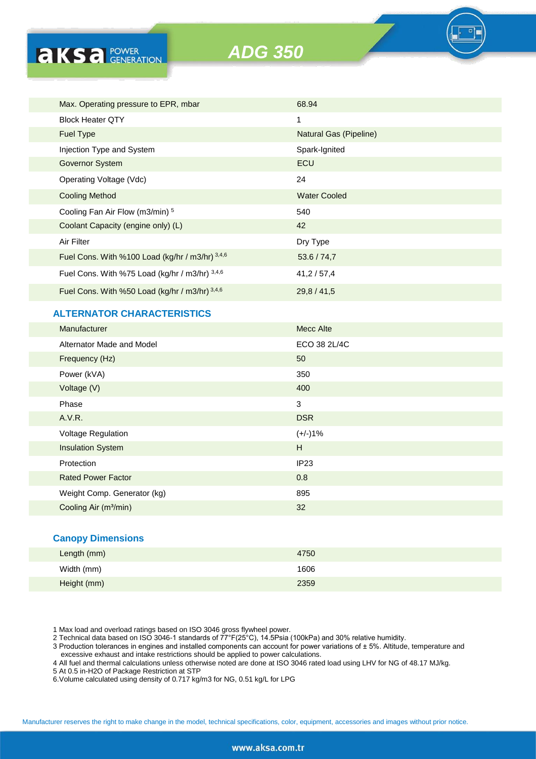

## **ALTERNATOR CHARACTERISTICS**

**AKSA POWER** 

| <b>Manufacturer</b>               | Mecc Alte    |
|-----------------------------------|--------------|
| Alternator Made and Model         | ECO 38 2L/4C |
| Frequency (Hz)                    | 50           |
| Power (kVA)                       | 350          |
| Voltage (V)                       | 400          |
| Phase                             | 3            |
| A.V.R.                            | <b>DSR</b>   |
| <b>Voltage Regulation</b>         | $(+/-)1%$    |
| <b>Insulation System</b>          | H            |
| Protection                        | IP23         |
| <b>Rated Power Factor</b>         | 0.8          |
| Weight Comp. Generator (kg)       | 895          |
| Cooling Air (m <sup>3</sup> /min) | 32           |
|                                   |              |

#### **Canopy Dimensions**

| Length (mm) | 4750 |
|-------------|------|
| Width (mm)  | 1606 |
| Height (mm) | 2359 |

1 Max load and overload ratings based on ISO 3046 gross flywheel power.

2 Technical data based on ISO 3046-1 standards of 77°F(25°C), 14.5Psia (100kPa) and 30% relative humidity.

3 Production tolerances in engines and installed components can account for power variations of ± 5%. Altitude, temperature and excessive exhaust and intake restrictions should be applied to power calculations.

4 All fuel and thermal calculations unless otherwise noted are done at ISO 3046 rated load using LHV for NG of 48.17 MJ/kg.

5 At 0.5 in-H2O of Package Restriction at STP

6.Volume calculated using density of 0.717 kg/m3 for NG, 0.51 kg/L for LPG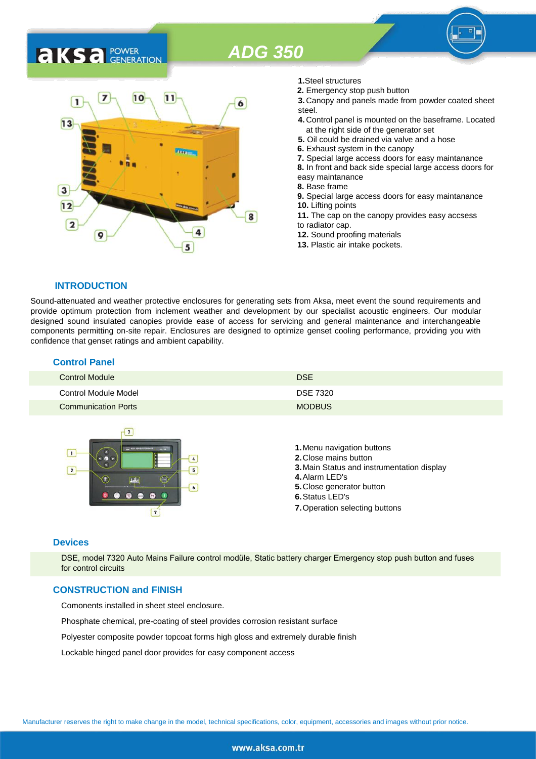

5

- **1.**Steel structures
- **2.** Emergency stop push button
- **3.** Canopy and panels made from powder coated sheet steel.
- **4.** Control panel is mounted on the baseframe. Located at the right side of the generator set
- **5.** Oil could be drained via valve and a hose
- **6.** Exhaust system in the canopy
- **7.** Special large access doors for easy maintanance
- **8.** In front and back side special large access doors for
- easy maintanance
- **8.** Base frame
- **9.** Special large access doors for easy maintanance **10.** Lifting points **11.** The cap on the canopy provides easy accsess
- to radiator cap.
- **12.** Sound proofing materials
- **13.** Plastic air intake pockets.

#### **INTRODUCTION**

Sound-attenuated and weather protective enclosures for generating sets from Aksa, meet event the sound requirements and provide optimum protection from inclement weather and development by our specialist acoustic engineers. Our modular designed sound insulated canopies provide ease of access for servicing and general maintenance and interchangeable components permitting on-site repair. Enclosures are designed to optimize genset cooling performance, providing you with confidence that genset ratings and ambient capability.

## **Control Panel**

| <b>Control Module</b>      | <b>DSE</b>      |
|----------------------------|-----------------|
| Control Module Model       | <b>DSE 7320</b> |
| <b>Communication Ports</b> | <b>MODBUS</b>   |



#### **Devices**

DSE, model 7320 Auto Mains Failure control modüle, Static battery charger Emergency stop push button and fuses for control circuits

## **CONSTRUCTION and FINISH**

Comonents installed in sheet steel enclosure.

Phosphate chemical, pre-coating of steel provides corrosion resistant surface

Polyester composite powder topcoat forms high gloss and extremely durable finish

Lockable hinged panel door provides for easy component access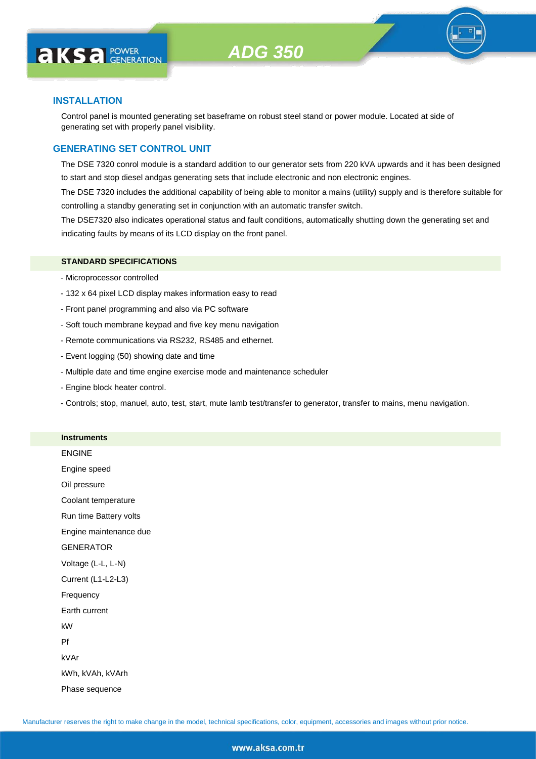

## **INSTALLATION**

Control panel is mounted generating set baseframe on robust steel stand or power module. Located at side of generating set with properly panel visibility.

#### **GENERATING SET CONTROL UNIT**

The DSE 7320 conrol module is a standard addition to our generator sets from 220 kVA upwards and it has been designed to start and stop diesel andgas generating sets that include electronic and non electronic engines.

The DSE 7320 includes the additional capability of being able to monitor a mains (utility) supply and is therefore suitable for controlling a standby generating set in conjunction with an automatic transfer switch.

The DSE7320 also indicates operational status and fault conditions, automatically shutting down the generating set and indicating faults by means of its LCD display on the front panel.

## **STANDARD SPECIFICATIONS**

- Microprocessor controlled
- 132 x 64 pixel LCD display makes information easy to read
- Front panel programming and also via PC software
- Soft touch membrane keypad and five key menu navigation
- Remote communications via RS232, RS485 and ethernet.
- Event logging (50) showing date and time
- Multiple date and time engine exercise mode and maintenance scheduler
- Engine block heater control.

**Instruments**

- Controls; stop, manuel, auto, test, start, mute lamb test/transfer to generator, transfer to mains, menu navigation.

| <u>IIISU UNIENIS</u>   |                        |  |  |  |
|------------------------|------------------------|--|--|--|
| <b>ENGINE</b>          |                        |  |  |  |
| Engine speed           |                        |  |  |  |
| Oil pressure           |                        |  |  |  |
| Coolant temperature    |                        |  |  |  |
| Run time Battery volts |                        |  |  |  |
|                        | Engine maintenance due |  |  |  |
| <b>GENERATOR</b>       |                        |  |  |  |
| Voltage (L-L, L-N)     |                        |  |  |  |
| Current (L1-L2-L3)     |                        |  |  |  |
| Frequency              |                        |  |  |  |
| Earth current          |                        |  |  |  |
| kW                     |                        |  |  |  |
| Pf                     |                        |  |  |  |
| kVAr                   |                        |  |  |  |
| kWh, kVAh, kVArh       |                        |  |  |  |
| Phase sequence         |                        |  |  |  |
|                        |                        |  |  |  |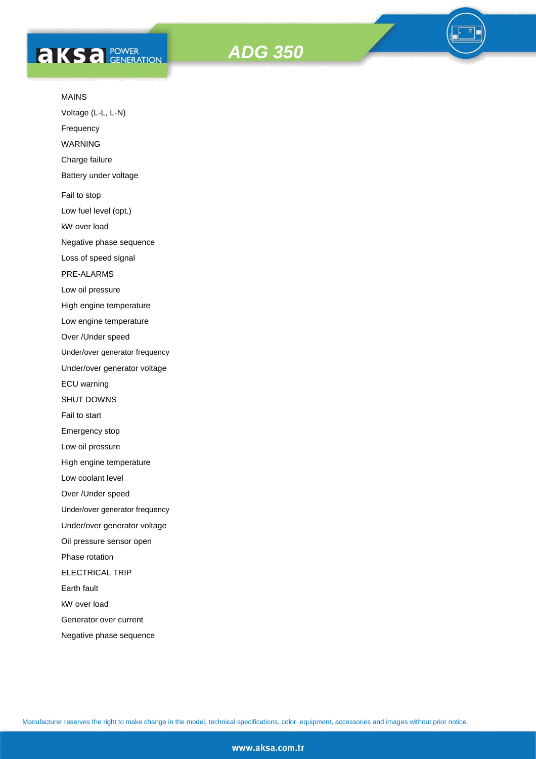# **AKS** *C ROWER*





## MAINS

Voltage (L-L, L-N)

Frequency

WARNING

Charge failure

Battery under voltage

Fail to stop

Low fuel level (opt.)

kW over load

Negative phase sequence

Loss of speed signal

PRE-ALARMS

Low oil pressure

High engine temperature

Low engine temperature

Over /Under speed

Under/over generator frequency

Under/over generator voltage

ECU warning

SHUT DOWNS

Fail to start

Emergency stop

Low oil pressure

High engine temperature

Low coolant level

Over /Under speed

Under/over generator frequency

Under/over generator voltage

Oil pressure sensor open

Phase rotation

ELECTRICAL TRIP

Earth fault

kW over load

Generator over current

Negative phase sequence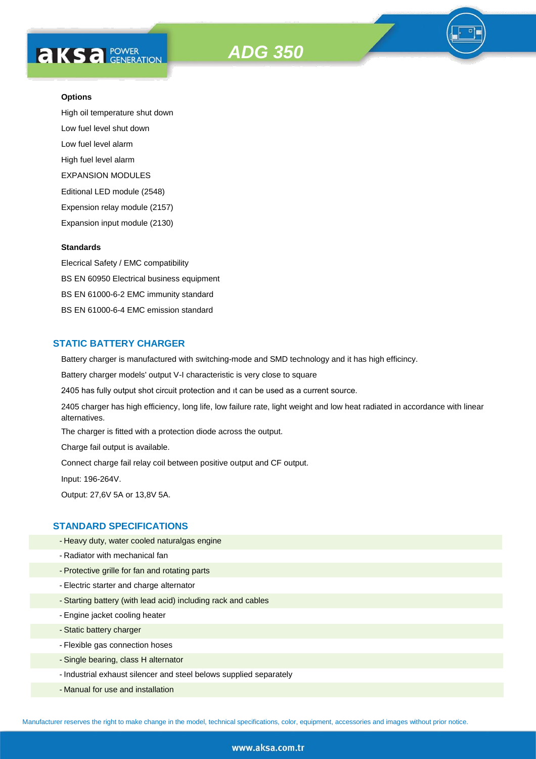

High oil temperature shut down Low fuel level shut down Low fuel level alarm High fuel level alarm EXPANSION MODULES Editional LED module (2548) Expension relay module (2157) Expansion input module (2130)

#### **Standards**

Elecrical Safety / EMC compatibility BS EN 60950 Electrical business equipment BS EN 61000-6-2 EMC immunity standard BS EN 61000-6-4 EMC emission standard

## **STATIC BATTERY CHARGER**

Battery charger is manufactured with switching-mode and SMD technology and it has high efficincy.

Battery charger models' output V-I characteristic is very close to square

2405 has fully output shot circuit protection and ıt can be used as a current source.

2405 charger has high efficiency, long life, low failure rate, light weight and low heat radiated in accordance with linear alternatives.

The charger is fitted with a protection diode across the output.

Charge fail output is available.

Connect charge fail relay coil between positive output and CF output.

Input: 196-264V.

Output: 27,6V 5A or 13,8V 5A.

## **STANDARD SPECIFICATIONS**

- Heavy duty, water cooled naturalgas engine
- Radiator with mechanical fan
- Protective grille for fan and rotating parts
- Electric starter and charge alternator
- Starting battery (with lead acid) including rack and cables
- Engine jacket cooling heater
- Static battery charger
- Flexible gas connection hoses
- Single bearing, class H alternator
- Industrial exhaust silencer and steel belows supplied separately
- Manual for use and installation

Manufacturer reserves the right to make change in the model, technical specifications, color, equipment, accessories and images without prior notice.